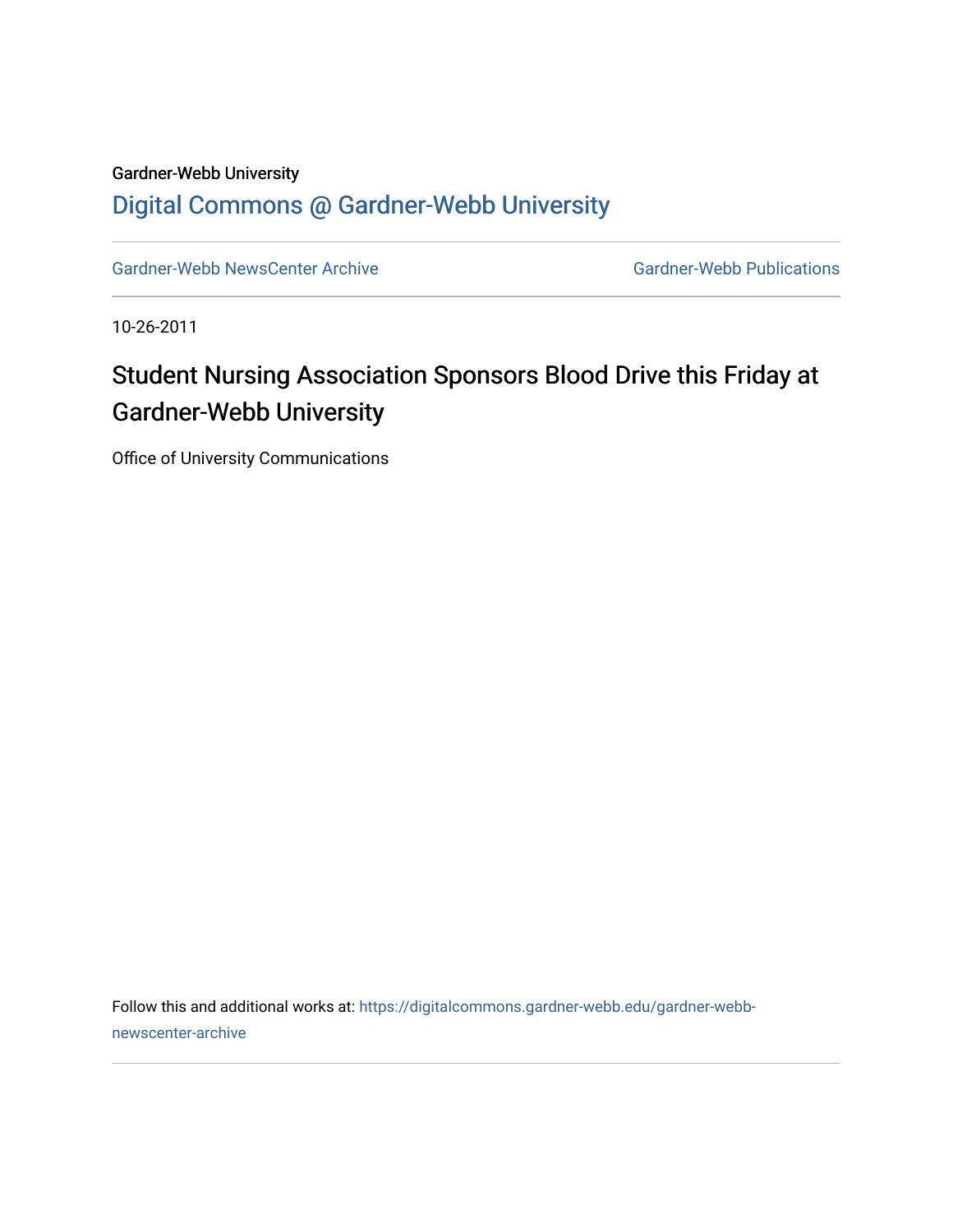## Gardner-Webb University [Digital Commons @ Gardner-Webb University](https://digitalcommons.gardner-webb.edu/)

[Gardner-Webb NewsCenter Archive](https://digitalcommons.gardner-webb.edu/gardner-webb-newscenter-archive) Gardner-Webb Publications

10-26-2011

## Student Nursing Association Sponsors Blood Drive this Friday at Gardner-Webb University

Office of University Communications

Follow this and additional works at: [https://digitalcommons.gardner-webb.edu/gardner-webb](https://digitalcommons.gardner-webb.edu/gardner-webb-newscenter-archive?utm_source=digitalcommons.gardner-webb.edu%2Fgardner-webb-newscenter-archive%2F2013&utm_medium=PDF&utm_campaign=PDFCoverPages)[newscenter-archive](https://digitalcommons.gardner-webb.edu/gardner-webb-newscenter-archive?utm_source=digitalcommons.gardner-webb.edu%2Fgardner-webb-newscenter-archive%2F2013&utm_medium=PDF&utm_campaign=PDFCoverPages)